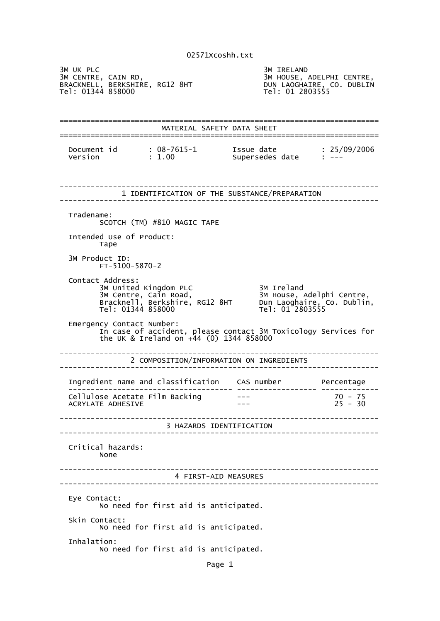3M UK PLC<br>3M CENTRE, CAIN RD, SM SM HOUSE, AND SM HOUSE, A 3M HOUSE, ADELPHI CENTRE,<br>DUN LAOGHAIRE, CO. DUBLIN<br>Tel: 01 2803555 BRACKNELL, BERKSHIRE, RG12 8HT DUN LAOGHAIRE, CO. DUBLIN Tel: 01344 858000 Tel: 01 2803555 ======================================================================== MATERIAL SAFETY DATA SHEET ======================================================================== Document id : 08-7615-1 Issue date : 25/09/2006 Version : 1.00 Supersedes date : --- ------------------------------------------------------------------------ 1 IDENTIFICATION OF THE SUBSTANCE/PREPARATION ------------------------------------------------------------------------ Tradename: SCOTCH (TM) #810 MAGIC TAPE Intended Use of Product: Tape 3M Product ID: FT-5100-5870-2 Contact Address: 3M United Kingdom PLC 3M Ireland 3M Centre, Cain Road, 3M House, Adelphi Centre, Bracknell, Berkshire, RG12 8HT Dun Laoghaire, Co. Dublin, Tel: 01344 858000 Tel: 01 2803555 Emergency Contact Number: In case of accident, please contact 3M Toxicology Services for the UK & Ireland on +44 (0) 1344 858000 ------------------------------------------------------------------------ 2 COMPOSITION/INFORMATION ON INGREDIENTS ------------------------------------------------------------------------ Ingredient name and classification CAS number Percentage ------------------------------------- ------------------ ------------- Cellulose Acetate Film Backing --- 75<br>ACRYLATE ADHESIVE --- 75 -- 75 -- 75 -- 76 -- 76 -- 76 -- 76 -- 76 -- 76 -- 76 -- 76 -- 76 -- 76 -- 77 --- 79 ACRYLATE ADHESIVE ------------------------------------------------------------------------ 3 HAZARDS IDENTIFICATION ------------------------------------------------------------------------ Critical hazards: None ------------------------------------------------------------------------ 4 FIRST-AID MEASURES ------------------------------------------------------------------------ Eye Contact: No need for first aid is anticipated. Skin Contact: No need for first aid is anticipated. Inhalation: No need for first aid is anticipated.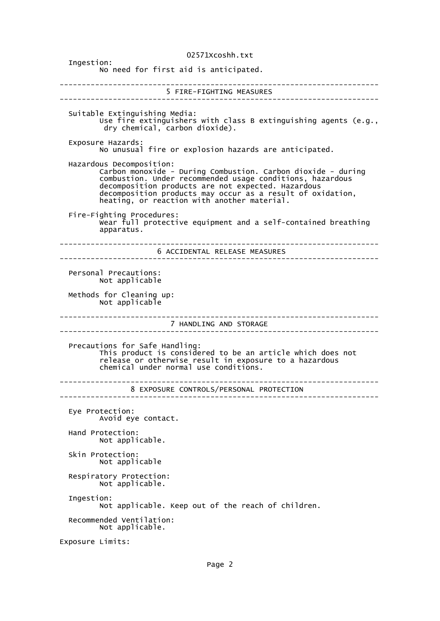02571Xcoshh.txt Ingestion: No need for first aid is anticipated. ------------------------------------------------------------------------ 5 FIRE-FIGHTING MEASURES ------------------------------------------------------------------------ Suitable Extinguishing Media: Use fire extinguishers with class B extinguishing agents (e.g., dry chemical, carbon dioxide). Exposure Hazards: No unusual fire or explosion hazards are anticipated. Hazardous Decomposition: Carbon monoxide - During Combustion. Carbon dioxide - during combustion. Under recommended usage conditions, hazardous decomposition products are not expected. Hazardous decomposition products may occur as a result of oxidation, heating, or reaction with another material. Fire-Fighting Procedures: Wear full protective equipment and a self-contained breathing apparatus. ------------------------------------------------------------------------ 6 ACCIDENTAL RELEASE MEASURES ------------------------------------------------------------------------ Personal Precautions: Not applicable Methods for Cleaning up: Not applicable ------------------------------------------------------------------------ 7 HANDLING AND STORAGE ------------------------------------------------------------------------ Precautions for Safe Handling: This product is considered to be an article which does not release or otherwise result in exposure to a hazardous chemical under normal use conditions. ------------------------------------------------------------------------ 8 EXPOSURE CONTROLS/PERSONAL PROTECTION ------------------------------------------------------------------------ Eye Protection: Avoid eye contact. Hand Protection: Not applicable. Skin Protection: Not applicable Respiratory Protection: Not applicable. Ingestion: Not applicable. Keep out of the reach of children. Recommended Ventilation: Not applicable. Exposure Limits: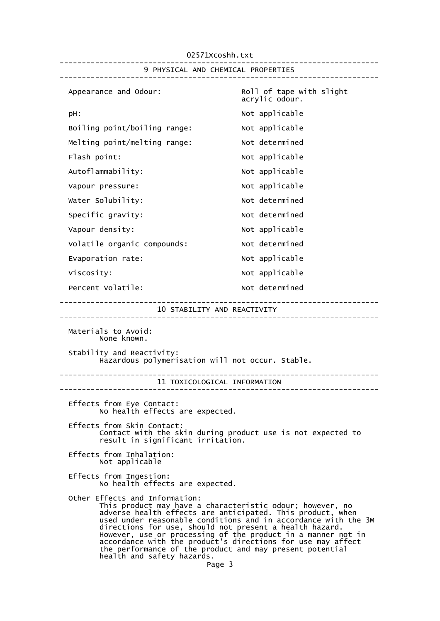02571Xcoshh.txt ------------------------------------------------------------------------ 9 PHYSICAL AND CHEMICAL PROPERTIES ------------------------------------------------------------------------ Appearance and Odour: Roll of tape with slight acrylic odour. pH:  $Not$  applicable Boiling point/boiling range: Not applicable Melting point/melting range: Not determined Flash point: Not applicable Autoflammability: Not applicable Vapour pressure:  $\blacksquare$ Water Solubility: Water Solubility: Specific gravity: Not determined Vapour density:  $V$ Volatile organic compounds: Not determined Evaporation rate: Not applicable Viscosity:  $V = V \cdot V$  Not applicable Percent Volatile: Not determined ------------------------------------------------------------------------ 10 STABILITY AND REACTIVITY ------------------------------------------------------------------------ Materials to Avoid: None known. Stability and Reactivity: Hazardous polymerisation will not occur. Stable. ------------------------------------------------------------------------ 11 TOXICOLOGICAL INFORMATION ------------------------------------------------------------------------ Effects from Eye Contact: No health effects are expected. Effects from Skin Contact: Contact with the skin during product use is not expected to result in significant irritation. Effects from Inhalation: Not applicable Effects from Ingestion: No health effects are expected. Other Effects and Information: This product may have a characteristic odour; however, no adverse health effects are anticipated. This product, when used under reasonable conditions and in accordance with the 3M directions for use, should not present a health hazard. However, use or processing of the product in a manner not in accordance with the product's directions for use may affect the performance of the product and may present potential health and safety hazards. Page 3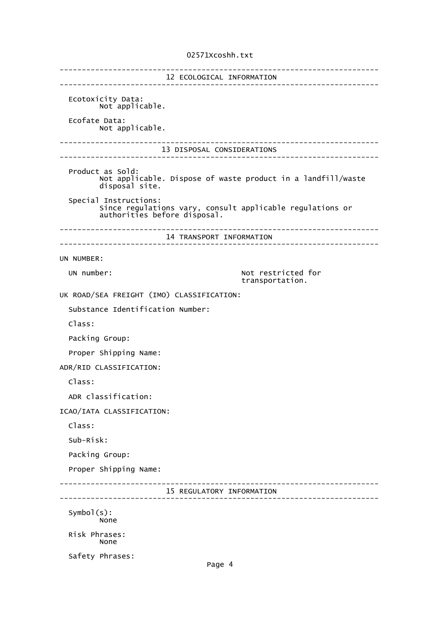## 02571Xcoshh.txt

------------------------------------------------------------------------ 12 ECOLOGICAL INFORMATION ------------------------------------------------------------------------ Ecotoxicity Data: Not applicable. Ecofate Data: Not applicable. ------------------------------------------------------------------------ 13 DISPOSAL CONSIDERATIONS ------------------------------------------------------------------------ Product as Sold: Not applicable. Dispose of waste product in a landfill/waste disposal site. Special Instructions: Since regulations vary, consult applicable regulations or authorities before disposal. ------------------------------------------------------------------------ 14 TRANSPORT INFORMATION ------------------------------------------------------------------------ UN NUMBER: UN number:  $\blacksquare$  Not restricted for transportation. UK ROAD/SEA FREIGHT (IMO) CLASSIFICATION: Substance Identification Number: Class: Packing Group: Proper Shipping Name: ADR/RID CLASSIFICATION: Class: ADR classification: ICAO/IATA CLASSIFICATION: Class: Sub-Risk: Packing Group: Proper Shipping Name: ------------------------------------------------------------------------ 15 REGULATORY INFORMATION ------------------------------------------------------------------------ Symbol(s): None Risk Phrases: None Safety Phrases: